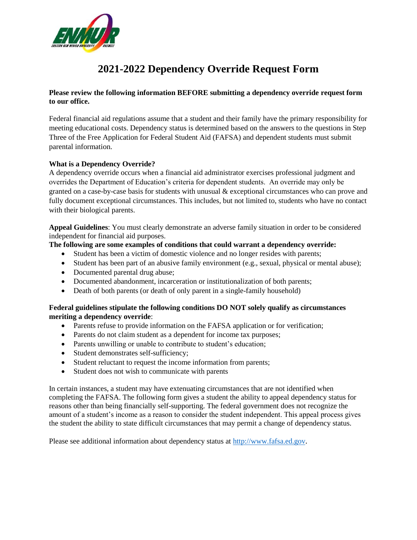

# **2021-2022 Dependency Override Request Form**

### **Please review the following information BEFORE submitting a dependency override request form to our office.**

Federal financial aid regulations assume that a student and their family have the primary responsibility for meeting educational costs. Dependency status is determined based on the answers to the questions in Step Three of the Free Application for Federal Student Aid (FAFSA) and dependent students must submit parental information.

### **What is a Dependency Override?**

A dependency override occurs when a financial aid administrator exercises professional judgment and overrides the Department of Education's criteria for dependent students. An override may only be granted on a case-by-case basis for students with unusual & exceptional circumstances who can prove and fully document exceptional circumstances. This includes, but not limited to, students who have no contact with their biological parents.

**Appeal Guidelines**: You must clearly demonstrate an adverse family situation in order to be considered independent for financial aid purposes.

#### **The following are some examples of conditions that could warrant a dependency override:**

- Student has been a victim of domestic violence and no longer resides with parents;
- Student has been part of an abusive family environment (e.g., sexual, physical or mental abuse);
- Documented parental drug abuse;
- Documented abandonment, incarceration or institutionalization of both parents;
- Death of both parents (or death of only parent in a single-family household)

#### **Federal guidelines stipulate the following conditions DO NOT solely qualify as circumstances meriting a dependency override**:

- Parents refuse to provide information on the FAFSA application or for verification;
- Parents do not claim student as a dependent for income tax purposes;
- Parents unwilling or unable to contribute to student's education;
- Student demonstrates self-sufficiency;
- Student reluctant to request the income information from parents;
- Student does not wish to communicate with parents

In certain instances, a student may have extenuating circumstances that are not identified when completing the FAFSA. The following form gives a student the ability to appeal dependency status for reasons other than being financially self-supporting. The federal government does not recognize the amount of a student's income as a reason to consider the student independent. This appeal process gives the student the ability to state difficult circumstances that may permit a change of dependency status.

Please see additional information about dependency status at [http://www.fafsa.ed.gov](http://www.fafsa.ed.gov/).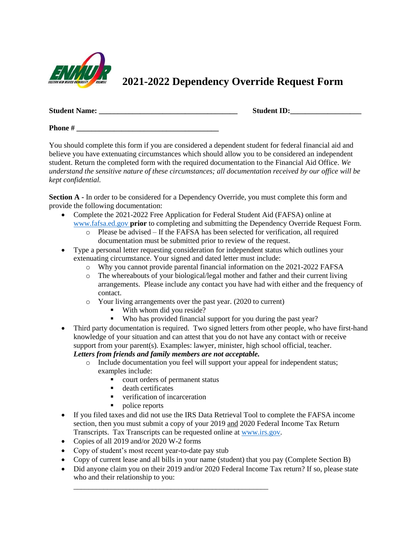

# **2021-2022 Dependency Override Request Form**

| <b>Student Name:</b> |  | <b>Student ID:</b> |
|----------------------|--|--------------------|
|----------------------|--|--------------------|

**Phone** #

You should complete this form if you are considered a dependent student for federal financial aid and believe you have extenuating circumstances which should allow you to be considered an independent student. Return the completed form with the required documentation to the Financial Aid Office. *We understand the sensitive nature of these circumstances; all documentation received by our office will be kept confidential.* 

**Section A** - In order to be considered for a Dependency Override, you must complete this form and provide the following documentation:

- Complete the 2021-2022 Free Application for Federal Student Aid (FAFSA) online at [www.fafsa.ed.gov](http://www.fafsa.ed.gov/) **prior** to completing and submitting the Dependency Override Request Form.
	- o Please be advised If the FAFSA has been selected for verification, all required documentation must be submitted prior to review of the request.
- Type a personal letter requesting consideration for independent status which outlines your extenuating circumstance. Your signed and dated letter must include:
	- o Why you cannot provide parental financial information on the 2021-2022 FAFSA
	- o The whereabouts of your biological/legal mother and father and their current living arrangements. Please include any contact you have had with either and the frequency of contact.
	- o Your living arrangements over the past year. (2020 to current)
		- With whom did you reside?
		- Who has provided financial support for you during the past year?
- Third party documentation is required. Two signed letters from other people, who have first-hand knowledge of your situation and can attest that you do not have any contact with or receive support from your parent(s). Examples: lawyer, minister, high school official, teacher.

## *Letters from friends and family members are not acceptable.*

- o Include documentation you feel will support your appeal for independent status; examples include:
	- court orders of permanent status

\_\_\_\_\_\_\_\_\_\_\_\_\_\_\_\_\_\_\_\_\_\_\_\_\_\_\_\_\_\_\_\_\_\_\_\_\_\_\_\_\_\_\_\_\_\_\_\_\_\_\_\_

- death certificates
- verification of incarceration
- police reports
- If you filed taxes and did not use the IRS Data Retrieval Tool to complete the FAFSA income section, then you must submit a copy of your 2019 and 2020 Federal Income Tax Return Transcripts. Tax Transcripts can be requested online at [www.irs.gov.](http://www.irs.gov/)
- Copies of all 2019 and/or 2020 W-2 forms
- Copy of student's most recent year-to-date pay stub
- Copy of current lease and all bills in your name (student) that you pay (Complete Section B)
- Did anyone claim you on their 2019 and/or 2020 Federal Income Tax return? If so, please state who and their relationship to you: